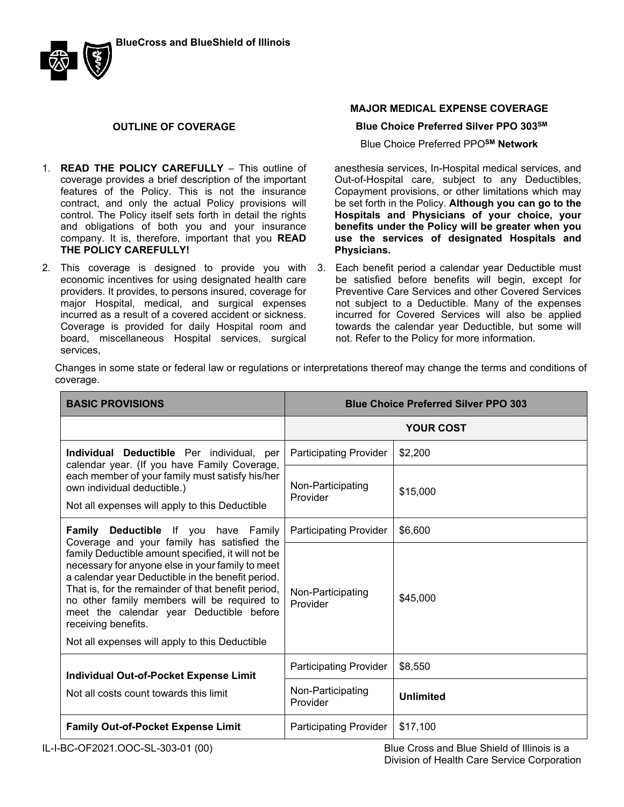

### **OUTLINE OF COVERAGE**

- 1. **READ THE POLICY CAREFULLY** This outline of coverage provides a brief description of the important features of the Policy. This is not the insurance contract, and only the actual Policy provisions will control. The Policy itself sets forth in detail the rights and obligations of both you and your insurance company. It is, therefore, important that you **READ THE POLICY CAREFULLY!**.
- 2. This coverage is designed to provide you with economic incentives for using designated health care providers. It provides, to persons insured, coverage for major Hospital, medical, and surgical expenses incurred as a result of a covered accident or sickness. Coverage is provided for daily Hospital room and board, miscellaneous Hospital services, surgical services,

## **MAJOR MEDICAL EXPENSE COVERAGE**

#### **Blue Choice Preferred Silver PPO 303SM**

Blue Choice Preferred PPO**SM Network**

anesthesia services, In-Hospital medical services, and Out-of-Hospital care, subject to any Deductibles, Copayment provisions, or other limitations which may be set forth in the Policy. **Although you can go to the Hospitals and Physicians of your choice, your benefits under the Policy will be greater when you use the services of designated Hospitals and Physicians.**

3. Each benefit period a calendar year Deductible must be satisfied before benefits will begin, except for Preventive Care Services and other Covered Services not subject to a Deductible. Many of the expenses incurred for Covered Services will also be applied towards the calendar year Deductible, but some will not. Refer to the Policy for more information.

Changes in some state or federal law or regulations or interpretations thereof may change the terms and conditions of coverage.

| <b>BASIC PROVISIONS</b>                                                                                                                                                                                                                                                                                                                                                               | <b>Blue Choice Preferred Silver PPO 303</b> |                  |
|---------------------------------------------------------------------------------------------------------------------------------------------------------------------------------------------------------------------------------------------------------------------------------------------------------------------------------------------------------------------------------------|---------------------------------------------|------------------|
|                                                                                                                                                                                                                                                                                                                                                                                       | <b>YOUR COST</b>                            |                  |
| Individual Deductible Per individual, per<br>calendar year. (If you have Family Coverage,                                                                                                                                                                                                                                                                                             | <b>Participating Provider</b>               | \$2,200          |
| each member of your family must satisfy his/her<br>own individual deductible.)<br>Not all expenses will apply to this Deductible                                                                                                                                                                                                                                                      | Non-Participating<br>Provider               | \$15,000         |
| Family Deductible If you have Family<br>Coverage and your family has satisfied the                                                                                                                                                                                                                                                                                                    | <b>Participating Provider</b>               | \$6,600          |
| family Deductible amount specified, it will not be<br>necessary for anyone else in your family to meet<br>a calendar year Deductible in the benefit period.<br>That is, for the remainder of that benefit period,<br>no other family members will be required to<br>meet the calendar year Deductible before<br>receiving benefits.<br>Not all expenses will apply to this Deductible | Non-Participating<br>Provider               | \$45,000         |
|                                                                                                                                                                                                                                                                                                                                                                                       | <b>Participating Provider</b>               | \$8,550          |
| <b>Individual Out-of-Pocket Expense Limit</b><br>Not all costs count towards this limit                                                                                                                                                                                                                                                                                               | Non-Participating<br>Provider               | <b>Unlimited</b> |
| <b>Family Out-of-Pocket Expense Limit</b>                                                                                                                                                                                                                                                                                                                                             | <b>Participating Provider</b>               | \$17,100         |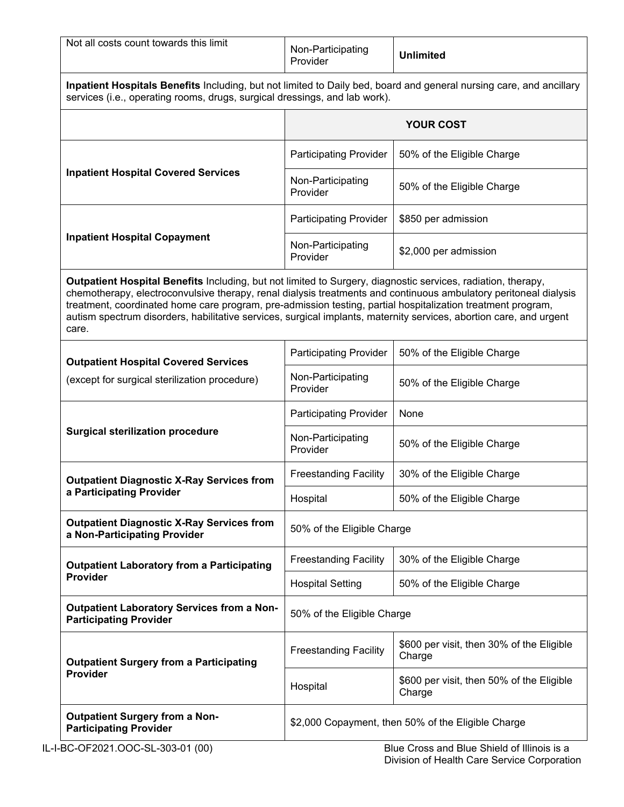| Not all costs count towards this limit                                                                                                                                                                                                                                                                                                                                                                                                                                         | Non-Participating<br>Provider | <b>Unlimited</b>                                    |  |
|--------------------------------------------------------------------------------------------------------------------------------------------------------------------------------------------------------------------------------------------------------------------------------------------------------------------------------------------------------------------------------------------------------------------------------------------------------------------------------|-------------------------------|-----------------------------------------------------|--|
| Inpatient Hospitals Benefits Including, but not limited to Daily bed, board and general nursing care, and ancillary<br>services (i.e., operating rooms, drugs, surgical dressings, and lab work).                                                                                                                                                                                                                                                                              |                               |                                                     |  |
|                                                                                                                                                                                                                                                                                                                                                                                                                                                                                | <b>YOUR COST</b>              |                                                     |  |
|                                                                                                                                                                                                                                                                                                                                                                                                                                                                                | <b>Participating Provider</b> | 50% of the Eligible Charge                          |  |
| <b>Inpatient Hospital Covered Services</b>                                                                                                                                                                                                                                                                                                                                                                                                                                     | Non-Participating<br>Provider | 50% of the Eligible Charge                          |  |
|                                                                                                                                                                                                                                                                                                                                                                                                                                                                                | <b>Participating Provider</b> | \$850 per admission                                 |  |
| <b>Inpatient Hospital Copayment</b>                                                                                                                                                                                                                                                                                                                                                                                                                                            | Non-Participating<br>Provider | \$2,000 per admission                               |  |
| Outpatient Hospital Benefits Including, but not limited to Surgery, diagnostic services, radiation, therapy,<br>chemotherapy, electroconvulsive therapy, renal dialysis treatments and continuous ambulatory peritoneal dialysis<br>treatment, coordinated home care program, pre-admission testing, partial hospitalization treatment program,<br>autism spectrum disorders, habilitative services, surgical implants, maternity services, abortion care, and urgent<br>care. |                               |                                                     |  |
| <b>Outpatient Hospital Covered Services</b>                                                                                                                                                                                                                                                                                                                                                                                                                                    | <b>Participating Provider</b> | 50% of the Eligible Charge                          |  |
| (except for surgical sterilization procedure)                                                                                                                                                                                                                                                                                                                                                                                                                                  | Non-Participating<br>Provider | 50% of the Eligible Charge                          |  |
| <b>Surgical sterilization procedure</b>                                                                                                                                                                                                                                                                                                                                                                                                                                        | <b>Participating Provider</b> | None                                                |  |
|                                                                                                                                                                                                                                                                                                                                                                                                                                                                                | Non-Participating<br>Provider | 50% of the Eligible Charge                          |  |
| <b>Outpatient Diagnostic X-Ray Services from</b><br>a Participating Provider                                                                                                                                                                                                                                                                                                                                                                                                   | <b>Freestanding Facility</b>  | 30% of the Eligible Charge                          |  |
|                                                                                                                                                                                                                                                                                                                                                                                                                                                                                | Hospital                      | 50% of the Eligible Charge                          |  |
| <b>Outpatient Diagnostic X-Ray Services from</b><br>a Non-Participating Provider                                                                                                                                                                                                                                                                                                                                                                                               | 50% of the Eligible Charge    |                                                     |  |
| <b>Outpatient Laboratory from a Participating</b>                                                                                                                                                                                                                                                                                                                                                                                                                              | <b>Freestanding Facility</b>  | 30% of the Eligible Charge                          |  |
| <b>Provider</b>                                                                                                                                                                                                                                                                                                                                                                                                                                                                | <b>Hospital Setting</b>       | 50% of the Eligible Charge                          |  |
| <b>Outpatient Laboratory Services from a Non-</b><br><b>Participating Provider</b>                                                                                                                                                                                                                                                                                                                                                                                             | 50% of the Eligible Charge    |                                                     |  |
| <b>Outpatient Surgery from a Participating</b><br>Provider                                                                                                                                                                                                                                                                                                                                                                                                                     | <b>Freestanding Facility</b>  | \$600 per visit, then 30% of the Eligible<br>Charge |  |
|                                                                                                                                                                                                                                                                                                                                                                                                                                                                                | Hospital                      | \$600 per visit, then 50% of the Eligible<br>Charge |  |
| <b>Outpatient Surgery from a Non-</b><br>\$2,000 Copayment, then 50% of the Eligible Charge<br><b>Participating Provider</b>                                                                                                                                                                                                                                                                                                                                                   |                               |                                                     |  |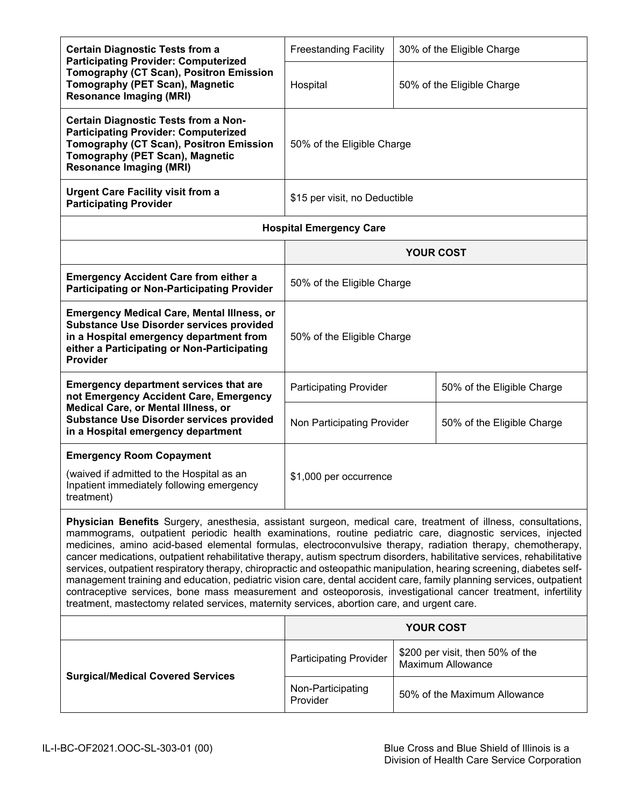| <b>Certain Diagnostic Tests from a</b><br><b>Participating Provider: Computerized</b>                                                                                                                                                                                                                                                                                                                                                                                                                                                                                                                                                                                                                                                                                                                                                                                                                                                   | <b>Freestanding Facility</b>   |                               | 30% of the Eligible Charge                                   |
|-----------------------------------------------------------------------------------------------------------------------------------------------------------------------------------------------------------------------------------------------------------------------------------------------------------------------------------------------------------------------------------------------------------------------------------------------------------------------------------------------------------------------------------------------------------------------------------------------------------------------------------------------------------------------------------------------------------------------------------------------------------------------------------------------------------------------------------------------------------------------------------------------------------------------------------------|--------------------------------|-------------------------------|--------------------------------------------------------------|
| Tomography (CT Scan), Positron Emission<br>Tomography (PET Scan), Magnetic<br><b>Resonance Imaging (MRI)</b>                                                                                                                                                                                                                                                                                                                                                                                                                                                                                                                                                                                                                                                                                                                                                                                                                            | Hospital                       |                               | 50% of the Eligible Charge                                   |
| <b>Certain Diagnostic Tests from a Non-</b><br><b>Participating Provider: Computerized</b><br>Tomography (CT Scan), Positron Emission<br>Tomography (PET Scan), Magnetic<br><b>Resonance Imaging (MRI)</b>                                                                                                                                                                                                                                                                                                                                                                                                                                                                                                                                                                                                                                                                                                                              | 50% of the Eligible Charge     |                               |                                                              |
| <b>Urgent Care Facility visit from a</b><br><b>Participating Provider</b>                                                                                                                                                                                                                                                                                                                                                                                                                                                                                                                                                                                                                                                                                                                                                                                                                                                               |                                | \$15 per visit, no Deductible |                                                              |
|                                                                                                                                                                                                                                                                                                                                                                                                                                                                                                                                                                                                                                                                                                                                                                                                                                                                                                                                         | <b>Hospital Emergency Care</b> |                               |                                                              |
|                                                                                                                                                                                                                                                                                                                                                                                                                                                                                                                                                                                                                                                                                                                                                                                                                                                                                                                                         |                                | <b>YOUR COST</b>              |                                                              |
| <b>Emergency Accident Care from either a</b><br><b>Participating or Non-Participating Provider</b>                                                                                                                                                                                                                                                                                                                                                                                                                                                                                                                                                                                                                                                                                                                                                                                                                                      | 50% of the Eligible Charge     |                               |                                                              |
| <b>Emergency Medical Care, Mental Illness, or</b><br><b>Substance Use Disorder services provided</b><br>in a Hospital emergency department from<br>either a Participating or Non-Participating<br><b>Provider</b>                                                                                                                                                                                                                                                                                                                                                                                                                                                                                                                                                                                                                                                                                                                       | 50% of the Eligible Charge     |                               |                                                              |
| <b>Emergency department services that are</b><br>not Emergency Accident Care, Emergency                                                                                                                                                                                                                                                                                                                                                                                                                                                                                                                                                                                                                                                                                                                                                                                                                                                 | <b>Participating Provider</b>  |                               | 50% of the Eligible Charge                                   |
| Medical Care, or Mental Illness, or<br><b>Substance Use Disorder services provided</b><br>in a Hospital emergency department                                                                                                                                                                                                                                                                                                                                                                                                                                                                                                                                                                                                                                                                                                                                                                                                            | Non Participating Provider     |                               | 50% of the Eligible Charge                                   |
| <b>Emergency Room Copayment</b><br>(waived if admitted to the Hospital as an<br>Inpatient immediately following emergency<br>treatment)                                                                                                                                                                                                                                                                                                                                                                                                                                                                                                                                                                                                                                                                                                                                                                                                 | \$1,000 per occurrence         |                               |                                                              |
| Physician Benefits Surgery, anesthesia, assistant surgeon, medical care, treatment of illness, consultations,<br>mammograms, outpatient periodic health examinations, routine pediatric care, diagnostic services, injected<br>medicines, amino acid-based elemental formulas, electroconvulsive therapy, radiation therapy, chemotherapy,<br>cancer medications, outpatient rehabilitative therapy, autism spectrum disorders, habilitative services, rehabilitative<br>services, outpatient respiratory therapy, chiropractic and osteopathic manipulation, hearing screening, diabetes self-<br>management training and education, pediatric vision care, dental accident care, family planning services, outpatient<br>contraceptive services, bone mass measurement and osteoporosis, investigational cancer treatment, infertility<br>treatment, mastectomy related services, maternity services, abortion care, and urgent care. |                                |                               |                                                              |
|                                                                                                                                                                                                                                                                                                                                                                                                                                                                                                                                                                                                                                                                                                                                                                                                                                                                                                                                         |                                | <b>YOUR COST</b>              |                                                              |
|                                                                                                                                                                                                                                                                                                                                                                                                                                                                                                                                                                                                                                                                                                                                                                                                                                                                                                                                         | <b>Participating Provider</b>  |                               | \$200 per visit, then 50% of the<br><b>Maximum Allowance</b> |
| <b>Surgical/Medical Covered Services</b>                                                                                                                                                                                                                                                                                                                                                                                                                                                                                                                                                                                                                                                                                                                                                                                                                                                                                                | Non-Participating<br>Provider  |                               | 50% of the Maximum Allowance                                 |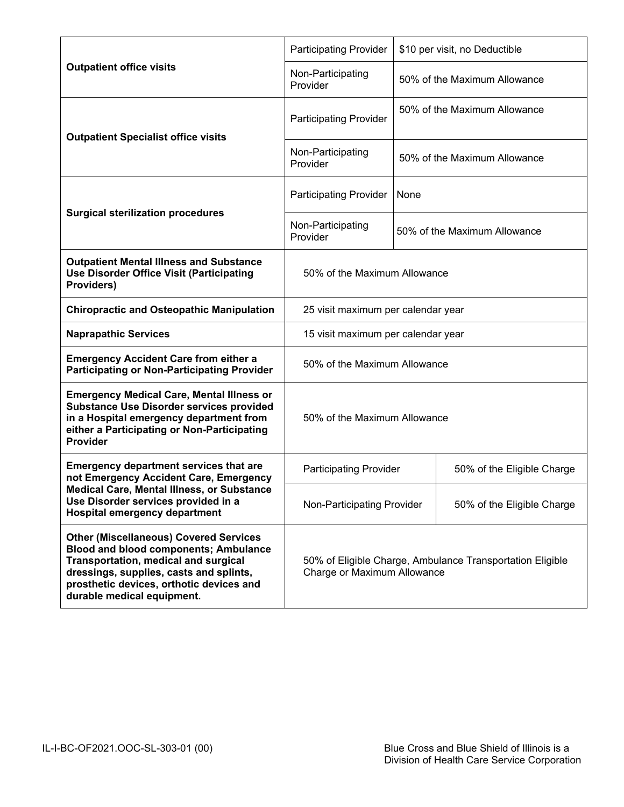|                                                                                                                                                                                                                                                                   | <b>Participating Provider</b>                                                            | \$10 per visit, no Deductible |  |
|-------------------------------------------------------------------------------------------------------------------------------------------------------------------------------------------------------------------------------------------------------------------|------------------------------------------------------------------------------------------|-------------------------------|--|
| <b>Outpatient office visits</b>                                                                                                                                                                                                                                   | Non-Participating<br>Provider                                                            | 50% of the Maximum Allowance  |  |
| <b>Outpatient Specialist office visits</b>                                                                                                                                                                                                                        | <b>Participating Provider</b>                                                            | 50% of the Maximum Allowance  |  |
|                                                                                                                                                                                                                                                                   | Non-Participating<br>Provider                                                            | 50% of the Maximum Allowance  |  |
| <b>Surgical sterilization procedures</b>                                                                                                                                                                                                                          | <b>Participating Provider</b>                                                            | None                          |  |
|                                                                                                                                                                                                                                                                   | Non-Participating<br>Provider                                                            | 50% of the Maximum Allowance  |  |
| <b>Outpatient Mental Illness and Substance</b><br><b>Use Disorder Office Visit (Participating</b><br>Providers)                                                                                                                                                   | 50% of the Maximum Allowance                                                             |                               |  |
| <b>Chiropractic and Osteopathic Manipulation</b>                                                                                                                                                                                                                  | 25 visit maximum per calendar year                                                       |                               |  |
| <b>Naprapathic Services</b>                                                                                                                                                                                                                                       | 15 visit maximum per calendar year                                                       |                               |  |
| <b>Emergency Accident Care from either a</b><br><b>Participating or Non-Participating Provider</b>                                                                                                                                                                | 50% of the Maximum Allowance                                                             |                               |  |
| <b>Emergency Medical Care, Mental Illness or</b><br><b>Substance Use Disorder services provided</b><br>in a Hospital emergency department from<br>either a Participating or Non-Participating<br><b>Provider</b>                                                  | 50% of the Maximum Allowance                                                             |                               |  |
| <b>Emergency department services that are</b><br>not Emergency Accident Care, Emergency                                                                                                                                                                           | <b>Participating Provider</b>                                                            | 50% of the Eligible Charge    |  |
| <b>Medical Care, Mental Illness, or Substance</b><br>Use Disorder services provided in a<br><b>Hospital emergency department</b>                                                                                                                                  | Non-Participating Provider                                                               | 50% of the Eligible Charge    |  |
| <b>Other (Miscellaneous) Covered Services</b><br><b>Blood and blood components; Ambulance</b><br><b>Transportation, medical and surgical</b><br>dressings, supplies, casts and splints,<br>prosthetic devices, orthotic devices and<br>durable medical equipment. | 50% of Eligible Charge, Ambulance Transportation Eligible<br>Charge or Maximum Allowance |                               |  |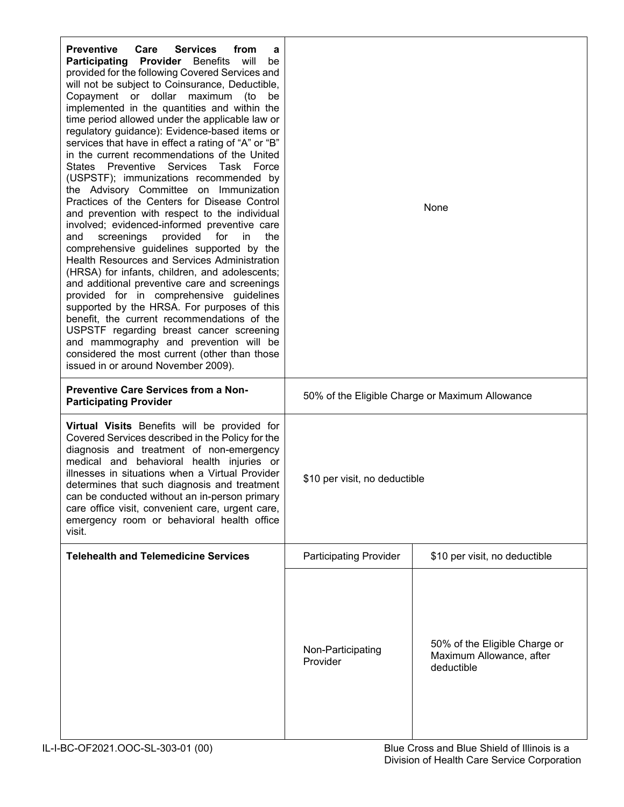| <b>Preventive</b><br>Care<br><b>Services</b><br>from<br>a<br>Participating Provider Benefits will<br>be<br>provided for the following Covered Services and<br>will not be subject to Coinsurance, Deductible,<br>Copayment or dollar maximum (to<br>be<br>implemented in the quantities and within the<br>time period allowed under the applicable law or<br>regulatory guidance): Evidence-based items or<br>services that have in effect a rating of "A" or "B"<br>in the current recommendations of the United<br>States Preventive Services Task Force<br>(USPSTF); immunizations recommended by<br>the Advisory Committee on Immunization<br>Practices of the Centers for Disease Control<br>and prevention with respect to the individual<br>involved; evidenced-informed preventive care<br>screenings<br>provided<br>for<br>the<br>and<br>in.<br>comprehensive guidelines supported by the<br>Health Resources and Services Administration<br>(HRSA) for infants, children, and adolescents;<br>and additional preventive care and screenings<br>provided for in comprehensive guidelines<br>supported by the HRSA. For purposes of this<br>benefit, the current recommendations of the<br>USPSTF regarding breast cancer screening<br>and mammography and prevention will be<br>considered the most current (other than those<br>issued in or around November 2009). | None                                            |                                                                         |  |
|-------------------------------------------------------------------------------------------------------------------------------------------------------------------------------------------------------------------------------------------------------------------------------------------------------------------------------------------------------------------------------------------------------------------------------------------------------------------------------------------------------------------------------------------------------------------------------------------------------------------------------------------------------------------------------------------------------------------------------------------------------------------------------------------------------------------------------------------------------------------------------------------------------------------------------------------------------------------------------------------------------------------------------------------------------------------------------------------------------------------------------------------------------------------------------------------------------------------------------------------------------------------------------------------------------------------------------------------------------------------------------|-------------------------------------------------|-------------------------------------------------------------------------|--|
| <b>Preventive Care Services from a Non-</b><br><b>Participating Provider</b>                                                                                                                                                                                                                                                                                                                                                                                                                                                                                                                                                                                                                                                                                                                                                                                                                                                                                                                                                                                                                                                                                                                                                                                                                                                                                                  | 50% of the Eligible Charge or Maximum Allowance |                                                                         |  |
| Virtual Visits Benefits will be provided for<br>Covered Services described in the Policy for the<br>diagnosis and treatment of non-emergency<br>medical and behavioral health injuries or<br>illnesses in situations when a Virtual Provider<br>determines that such diagnosis and treatment<br>can be conducted without an in-person primary<br>care office visit, convenient care, urgent care,<br>emergency room or behavioral health office<br>visit.                                                                                                                                                                                                                                                                                                                                                                                                                                                                                                                                                                                                                                                                                                                                                                                                                                                                                                                     | \$10 per visit, no deductible                   |                                                                         |  |
| <b>Telehealth and Telemedicine Services</b>                                                                                                                                                                                                                                                                                                                                                                                                                                                                                                                                                                                                                                                                                                                                                                                                                                                                                                                                                                                                                                                                                                                                                                                                                                                                                                                                   | <b>Participating Provider</b>                   | \$10 per visit, no deductible                                           |  |
|                                                                                                                                                                                                                                                                                                                                                                                                                                                                                                                                                                                                                                                                                                                                                                                                                                                                                                                                                                                                                                                                                                                                                                                                                                                                                                                                                                               | Non-Participating<br>Provider                   | 50% of the Eligible Charge or<br>Maximum Allowance, after<br>deductible |  |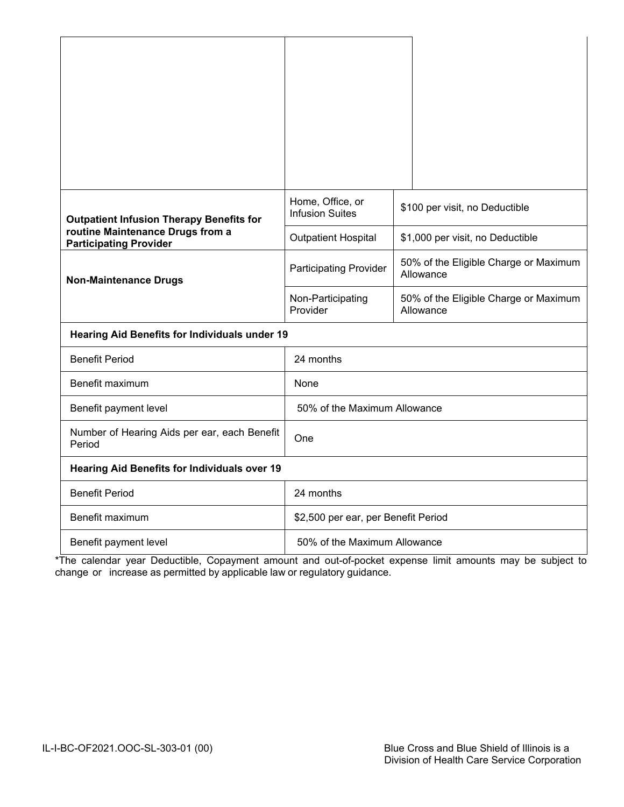| <b>Outpatient Infusion Therapy Benefits for</b>                   | Home, Office, or<br><b>Infusion Suites</b>    | \$100 per visit, no Deductible                     |  |
|-------------------------------------------------------------------|-----------------------------------------------|----------------------------------------------------|--|
| routine Maintenance Drugs from a<br><b>Participating Provider</b> | <b>Outpatient Hospital</b>                    | \$1,000 per visit, no Deductible                   |  |
| <b>Non-Maintenance Drugs</b>                                      | <b>Participating Provider</b>                 | 50% of the Eligible Charge or Maximum<br>Allowance |  |
|                                                                   | Non-Participating<br>Provider                 | 50% of the Eligible Charge or Maximum<br>Allowance |  |
|                                                                   | Hearing Aid Benefits for Individuals under 19 |                                                    |  |
| <b>Benefit Period</b>                                             | 24 months                                     |                                                    |  |
| Benefit maximum                                                   | None                                          |                                                    |  |
| Benefit payment level                                             | 50% of the Maximum Allowance                  |                                                    |  |
| Number of Hearing Aids per ear, each Benefit<br>Period            | One                                           |                                                    |  |
| <b>Hearing Aid Benefits for Individuals over 19</b>               |                                               |                                                    |  |
| <b>Benefit Period</b>                                             | 24 months                                     |                                                    |  |
| Benefit maximum                                                   | \$2,500 per ear, per Benefit Period           |                                                    |  |
| Benefit payment level                                             | 50% of the Maximum Allowance                  |                                                    |  |

\*The calendar year Deductible, Copayment amount and out-of-pocket expense limit amounts may be subject to change or increase as permitted by applicable law or regulatory guidance.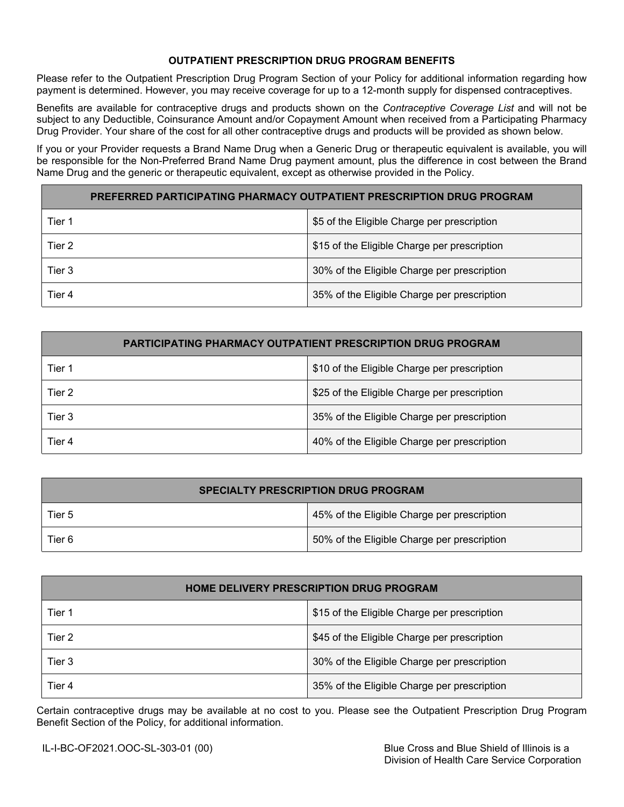# **OUTPATIENT PRESCRIPTION DRUG PROGRAM BENEFITS**

Please refer to the Outpatient Prescription Drug Program Section of your Policy for additional information regarding how payment is determined. However, you may receive coverage for up to a 12-month supply for dispensed contraceptives.

Benefits are available for contraceptive drugs and products shown on the *Contraceptive Coverage List* and will not be subject to any Deductible, Coinsurance Amount and/or Copayment Amount when received from a Participating Pharmacy Drug Provider. Your share of the cost for all other contraceptive drugs and products will be provided as shown below.

If you or your Provider requests a Brand Name Drug when a Generic Drug or therapeutic equivalent is available, you will be responsible for the Non-Preferred Brand Name Drug payment amount, plus the difference in cost between the Brand Name Drug and the generic or therapeutic equivalent, except as otherwise provided in the Policy.

| PREFERRED PARTICIPATING PHARMACY OUTPATIENT PRESCRIPTION DRUG PROGRAM |                                              |  |
|-----------------------------------------------------------------------|----------------------------------------------|--|
| Tier 1                                                                | \$5 of the Eligible Charge per prescription  |  |
| Tier 2                                                                | \$15 of the Eligible Charge per prescription |  |
| Tier 3                                                                | 30% of the Eligible Charge per prescription  |  |
| Tier 4                                                                | 35% of the Eligible Charge per prescription  |  |

| <b>PARTICIPATING PHARMACY OUTPATIENT PRESCRIPTION DRUG PROGRAM</b> |                                              |  |
|--------------------------------------------------------------------|----------------------------------------------|--|
| Tier 1                                                             | \$10 of the Eligible Charge per prescription |  |
| Tier 2                                                             | \$25 of the Eligible Charge per prescription |  |
| Tier 3                                                             | 35% of the Eligible Charge per prescription  |  |
| Tier 4                                                             | 40% of the Eligible Charge per prescription  |  |

| <b>SPECIALTY PRESCRIPTION DRUG PROGRAM</b> |                                             |  |
|--------------------------------------------|---------------------------------------------|--|
| Tier 5                                     | 45% of the Eligible Charge per prescription |  |
| Tier 6                                     | 50% of the Eligible Charge per prescription |  |

| <b>HOME DELIVERY PRESCRIPTION DRUG PROGRAM</b> |                                              |  |
|------------------------------------------------|----------------------------------------------|--|
| Tier 1                                         | \$15 of the Eligible Charge per prescription |  |
| Tier 2                                         | \$45 of the Eligible Charge per prescription |  |
| Tier 3                                         | 30% of the Eligible Charge per prescription  |  |
| Tier 4                                         | 35% of the Eligible Charge per prescription  |  |

Certain contraceptive drugs may be available at no cost to you. Please see the Outpatient Prescription Drug Program Benefit Section of the Policy, for additional information.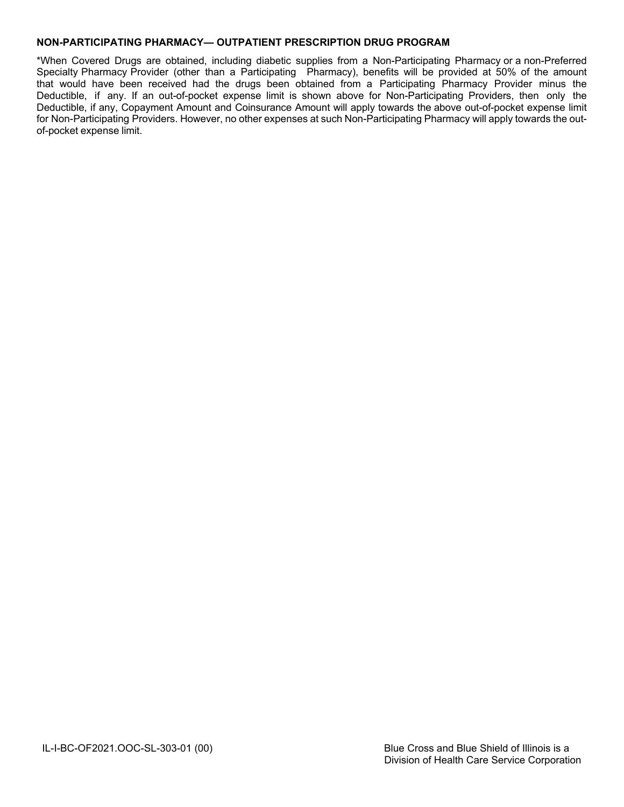# **NON-PARTICIPATING PHARMACY— OUTPATIENT PRESCRIPTION DRUG PROGRAM**

\*When Covered Drugs are obtained, including diabetic supplies from a Non-Participating Pharmacy or a non-Preferred Specialty Pharmacy Provider (other than a Participating Pharmacy), benefits will be provided at 50% of the amount that would have been received had the drugs been obtained from a Participating Pharmacy Provider minus the Deductible, if any. If an out-of-pocket expense limit is shown above for Non-Participating Providers, then only the Deductible, if any, Copayment Amount and Coinsurance Amount will apply towards the above out-of-pocket expense limit for Non-Participating Providers. However, no other expenses at such Non-Participating Pharmacy will apply towards the outof-pocket expense limit.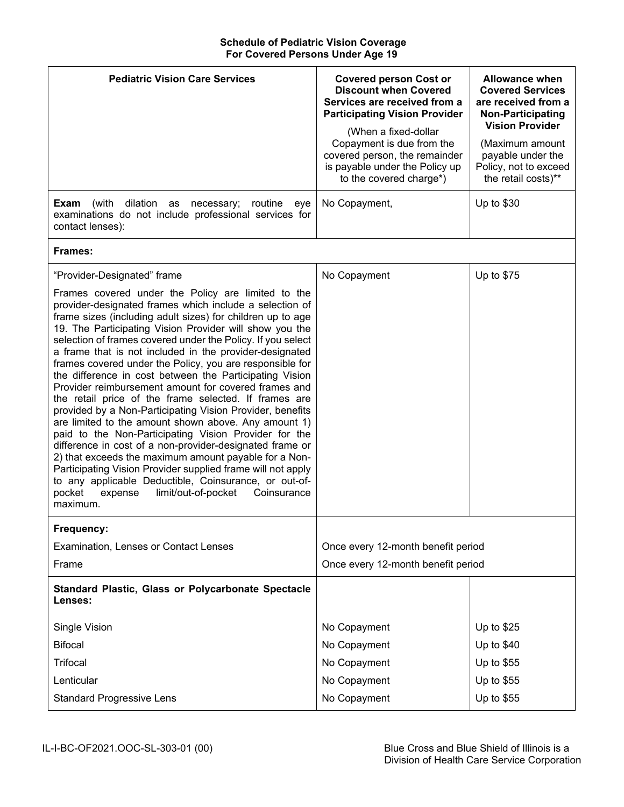## **Schedule of Pediatric Vision Coverage For Covered Persons Under Age 19**

| <b>Pediatric Vision Care Services</b>                                                                                                                                                                                                                                                                                                                                                                                                                                                                                                                                                                                                                                                                                                                                                                                                                                                                                                                                                                                                                                                                                                     | <b>Covered person Cost or</b><br><b>Discount when Covered</b><br>Services are received from a<br><b>Participating Vision Provider</b><br>(When a fixed-dollar<br>Copayment is due from the<br>covered person, the remainder<br>is payable under the Policy up<br>to the covered charge*) | <b>Allowance when</b><br><b>Covered Services</b><br>are received from a<br><b>Non-Participating</b><br><b>Vision Provider</b><br>(Maximum amount<br>payable under the<br>Policy, not to exceed<br>the retail costs)** |
|-------------------------------------------------------------------------------------------------------------------------------------------------------------------------------------------------------------------------------------------------------------------------------------------------------------------------------------------------------------------------------------------------------------------------------------------------------------------------------------------------------------------------------------------------------------------------------------------------------------------------------------------------------------------------------------------------------------------------------------------------------------------------------------------------------------------------------------------------------------------------------------------------------------------------------------------------------------------------------------------------------------------------------------------------------------------------------------------------------------------------------------------|------------------------------------------------------------------------------------------------------------------------------------------------------------------------------------------------------------------------------------------------------------------------------------------|-----------------------------------------------------------------------------------------------------------------------------------------------------------------------------------------------------------------------|
| dilation<br>Exam<br>(with<br>routine<br>as<br>necessary;<br>eye<br>examinations do not include professional services for<br>contact lenses):                                                                                                                                                                                                                                                                                                                                                                                                                                                                                                                                                                                                                                                                                                                                                                                                                                                                                                                                                                                              | No Copayment,                                                                                                                                                                                                                                                                            | Up to \$30                                                                                                                                                                                                            |
| Frames:                                                                                                                                                                                                                                                                                                                                                                                                                                                                                                                                                                                                                                                                                                                                                                                                                                                                                                                                                                                                                                                                                                                                   |                                                                                                                                                                                                                                                                                          |                                                                                                                                                                                                                       |
| "Provider-Designated" frame<br>Frames covered under the Policy are limited to the<br>provider-designated frames which include a selection of<br>frame sizes (including adult sizes) for children up to age<br>19. The Participating Vision Provider will show you the<br>selection of frames covered under the Policy. If you select<br>a frame that is not included in the provider-designated<br>frames covered under the Policy, you are responsible for<br>the difference in cost between the Participating Vision<br>Provider reimbursement amount for covered frames and<br>the retail price of the frame selected. If frames are<br>provided by a Non-Participating Vision Provider, benefits<br>are limited to the amount shown above. Any amount 1)<br>paid to the Non-Participating Vision Provider for the<br>difference in cost of a non-provider-designated frame or<br>2) that exceeds the maximum amount payable for a Non-<br>Participating Vision Provider supplied frame will not apply<br>to any applicable Deductible, Coinsurance, or out-of-<br>pocket<br>limit/out-of-pocket<br>expense<br>Coinsurance<br>maximum. | No Copayment                                                                                                                                                                                                                                                                             | Up to \$75                                                                                                                                                                                                            |
| Frequency:                                                                                                                                                                                                                                                                                                                                                                                                                                                                                                                                                                                                                                                                                                                                                                                                                                                                                                                                                                                                                                                                                                                                |                                                                                                                                                                                                                                                                                          |                                                                                                                                                                                                                       |
| Examination, Lenses or Contact Lenses<br>Frame                                                                                                                                                                                                                                                                                                                                                                                                                                                                                                                                                                                                                                                                                                                                                                                                                                                                                                                                                                                                                                                                                            | Once every 12-month benefit period<br>Once every 12-month benefit period                                                                                                                                                                                                                 |                                                                                                                                                                                                                       |
| Standard Plastic, Glass or Polycarbonate Spectacle<br>Lenses:                                                                                                                                                                                                                                                                                                                                                                                                                                                                                                                                                                                                                                                                                                                                                                                                                                                                                                                                                                                                                                                                             |                                                                                                                                                                                                                                                                                          |                                                                                                                                                                                                                       |
| Single Vision                                                                                                                                                                                                                                                                                                                                                                                                                                                                                                                                                                                                                                                                                                                                                                                                                                                                                                                                                                                                                                                                                                                             | No Copayment                                                                                                                                                                                                                                                                             | Up to $$25$                                                                                                                                                                                                           |
| <b>Bifocal</b>                                                                                                                                                                                                                                                                                                                                                                                                                                                                                                                                                                                                                                                                                                                                                                                                                                                                                                                                                                                                                                                                                                                            | No Copayment                                                                                                                                                                                                                                                                             | Up to $$40$                                                                                                                                                                                                           |
| <b>Trifocal</b>                                                                                                                                                                                                                                                                                                                                                                                                                                                                                                                                                                                                                                                                                                                                                                                                                                                                                                                                                                                                                                                                                                                           | No Copayment                                                                                                                                                                                                                                                                             | Up to \$55                                                                                                                                                                                                            |
| Lenticular                                                                                                                                                                                                                                                                                                                                                                                                                                                                                                                                                                                                                                                                                                                                                                                                                                                                                                                                                                                                                                                                                                                                | No Copayment                                                                                                                                                                                                                                                                             | Up to \$55                                                                                                                                                                                                            |
| <b>Standard Progressive Lens</b>                                                                                                                                                                                                                                                                                                                                                                                                                                                                                                                                                                                                                                                                                                                                                                                                                                                                                                                                                                                                                                                                                                          | No Copayment                                                                                                                                                                                                                                                                             | Up to \$55                                                                                                                                                                                                            |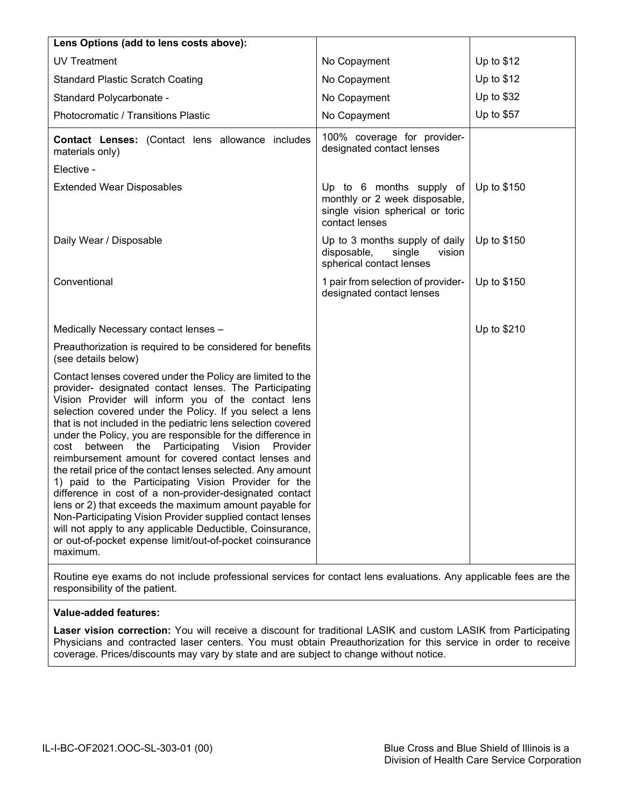| Lens Options (add to lens costs above):                                                                                                                                                                                                                                                                                                                                                                                                                                                                                                                                                                                                                                                                                                                                                                                                                                                                                             |                                                                                                                 |             |
|-------------------------------------------------------------------------------------------------------------------------------------------------------------------------------------------------------------------------------------------------------------------------------------------------------------------------------------------------------------------------------------------------------------------------------------------------------------------------------------------------------------------------------------------------------------------------------------------------------------------------------------------------------------------------------------------------------------------------------------------------------------------------------------------------------------------------------------------------------------------------------------------------------------------------------------|-----------------------------------------------------------------------------------------------------------------|-------------|
| <b>UV Treatment</b>                                                                                                                                                                                                                                                                                                                                                                                                                                                                                                                                                                                                                                                                                                                                                                                                                                                                                                                 | No Copayment                                                                                                    | Up to \$12  |
| <b>Standard Plastic Scratch Coating</b>                                                                                                                                                                                                                                                                                                                                                                                                                                                                                                                                                                                                                                                                                                                                                                                                                                                                                             | No Copayment                                                                                                    | Up to $$12$ |
| Standard Polycarbonate -                                                                                                                                                                                                                                                                                                                                                                                                                                                                                                                                                                                                                                                                                                                                                                                                                                                                                                            | No Copayment                                                                                                    | Up to \$32  |
| Photocromatic / Transitions Plastic                                                                                                                                                                                                                                                                                                                                                                                                                                                                                                                                                                                                                                                                                                                                                                                                                                                                                                 | No Copayment                                                                                                    | Up to \$57  |
| Contact Lenses: (Contact lens allowance includes<br>materials only)                                                                                                                                                                                                                                                                                                                                                                                                                                                                                                                                                                                                                                                                                                                                                                                                                                                                 | 100% coverage for provider-<br>designated contact lenses                                                        |             |
| Elective -                                                                                                                                                                                                                                                                                                                                                                                                                                                                                                                                                                                                                                                                                                                                                                                                                                                                                                                          |                                                                                                                 |             |
| <b>Extended Wear Disposables</b>                                                                                                                                                                                                                                                                                                                                                                                                                                                                                                                                                                                                                                                                                                                                                                                                                                                                                                    | Up to 6 months supply of<br>monthly or 2 week disposable,<br>single vision spherical or toric<br>contact lenses | Up to \$150 |
| Daily Wear / Disposable                                                                                                                                                                                                                                                                                                                                                                                                                                                                                                                                                                                                                                                                                                                                                                                                                                                                                                             | Up to 3 months supply of daily<br>disposable,<br>single<br>vision<br>spherical contact lenses                   | Up to \$150 |
| Conventional                                                                                                                                                                                                                                                                                                                                                                                                                                                                                                                                                                                                                                                                                                                                                                                                                                                                                                                        | 1 pair from selection of provider-<br>designated contact lenses                                                 | Up to \$150 |
| Medically Necessary contact lenses -                                                                                                                                                                                                                                                                                                                                                                                                                                                                                                                                                                                                                                                                                                                                                                                                                                                                                                |                                                                                                                 | Up to \$210 |
| Preauthorization is required to be considered for benefits<br>(see details below)                                                                                                                                                                                                                                                                                                                                                                                                                                                                                                                                                                                                                                                                                                                                                                                                                                                   |                                                                                                                 |             |
| Contact lenses covered under the Policy are limited to the<br>provider- designated contact lenses. The Participating<br>Vision Provider will inform you of the contact lens<br>selection covered under the Policy. If you select a lens<br>that is not included in the pediatric lens selection covered<br>under the Policy, you are responsible for the difference in<br>between the Participating Vision<br>Provider<br>cost<br>reimbursement amount for covered contact lenses and<br>the retail price of the contact lenses selected. Any amount<br>1) paid to the Participating Vision Provider for the<br>difference in cost of a non-provider-designated contact<br>lens or 2) that exceeds the maximum amount payable for<br>Non-Participating Vision Provider supplied contact lenses<br>will not apply to any applicable Deductible, Coinsurance,<br>or out-of-pocket expense limit/out-of-pocket coinsurance<br>maximum. |                                                                                                                 |             |
| Routine eye exams do not include professional services for contact lens evaluations. Any annlicable fees are the                                                                                                                                                                                                                                                                                                                                                                                                                                                                                                                                                                                                                                                                                                                                                                                                                    |                                                                                                                 |             |

Routine eye exams do not include professional services for contact lens evaluations. Any applicable fees are the responsibility of the patient.

# **Value-added features:**

**Laser vision correction:** You will receive a discount for traditional LASIK and custom LASIK from Participating Physicians and contracted laser centers. You must obtain Preauthorization for this service in order to receive coverage. Prices/discounts may vary by state and are subject to change without notice.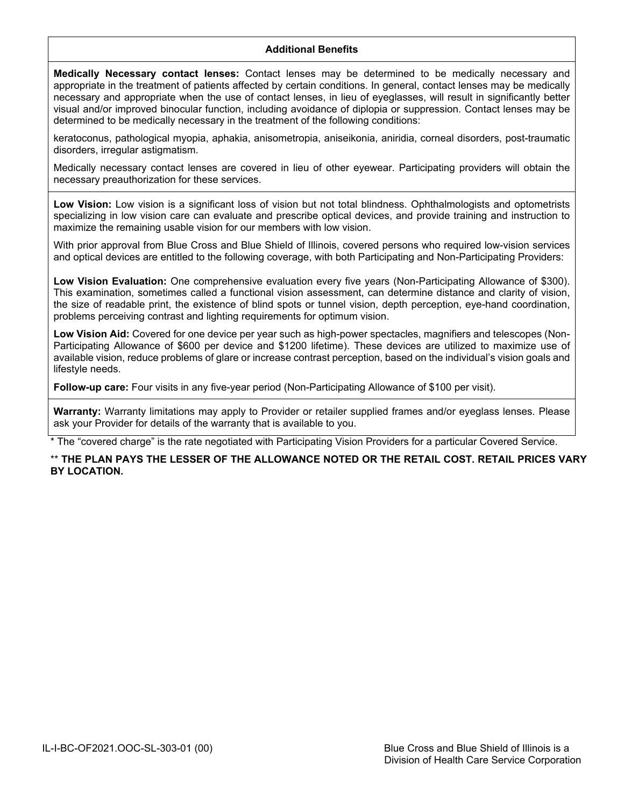# **Additional Benefits**

**Medically Necessary contact lenses:** Contact lenses may be determined to be medically necessary and appropriate in the treatment of patients affected by certain conditions. In general, contact lenses may be medically necessary and appropriate when the use of contact lenses, in lieu of eyeglasses, will result in significantly better visual and/or improved binocular function, including avoidance of diplopia or suppression. Contact lenses may be determined to be medically necessary in the treatment of the following conditions:

keratoconus, pathological myopia, aphakia, anisometropia, aniseikonia, aniridia, corneal disorders, post-traumatic disorders, irregular astigmatism.

Medically necessary contact lenses are covered in lieu of other eyewear. Participating providers will obtain the necessary preauthorization for these services.

Low Vision: Low vision is a significant loss of vision but not total blindness. Ophthalmologists and optometrists specializing in low vision care can evaluate and prescribe optical devices, and provide training and instruction to maximize the remaining usable vision for our members with low vision.

With prior approval from Blue Cross and Blue Shield of Illinois, covered persons who required low-vision services and optical devices are entitled to the following coverage, with both Participating and Non-Participating Providers:

**Low Vision Evaluation:** One comprehensive evaluation every five years (Non-Participating Allowance of \$300). This examination, sometimes called a functional vision assessment, can determine distance and clarity of vision, the size of readable print, the existence of blind spots or tunnel vision, depth perception, eye-hand coordination, problems perceiving contrast and lighting requirements for optimum vision.

**Low Vision Aid:** Covered for one device per year such as high-power spectacles, magnifiers and telescopes (Non-Participating Allowance of \$600 per device and \$1200 lifetime). These devices are utilized to maximize use of available vision, reduce problems of glare or increase contrast perception, based on the individual's vision goals and lifestyle needs.

**Follow-up care:** Four visits in any five-year period (Non-Participating Allowance of \$100 per visit).

**Warranty:** Warranty limitations may apply to Provider or retailer supplied frames and/or eyeglass lenses. Please ask your Provider for details of the warranty that is available to you.

The "covered charge" is the rate negotiated with Participating Vision Providers for a particular Covered Service.

# \*\* **THE PLAN PAYS THE LESSER OF THE ALLOWANCE NOTED OR THE RETAIL COST. RETAIL PRICES VARY BY LOCATION.**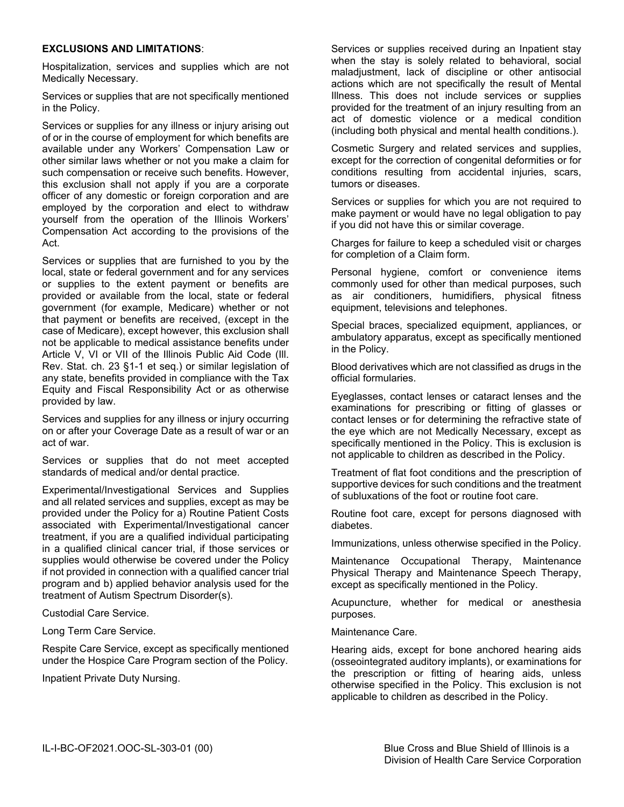### **EXCLUSIONS AND LIMITATIONS**:

Hospitalization, services and supplies which are not Medically Necessary.

Services or supplies that are not specifically mentioned in the Policy.

Services or supplies for any illness or injury arising out of or in the course of employment for which benefits are available under any Workers' Compensation Law or other similar laws whether or not you make a claim for such compensation or receive such benefits. However, this exclusion shall not apply if you are a corporate officer of any domestic or foreign corporation and are employed by the corporation and elect to withdraw yourself from the operation of the Illinois Workers' Compensation Act according to the provisions of the Act.

Services or supplies that are furnished to you by the local, state or federal government and for any services or supplies to the extent payment or benefits are provided or available from the local, state or federal government (for example, Medicare) whether or not that payment or benefits are received, (except in the case of Medicare), except however, this exclusion shall not be applicable to medical assistance benefits under Article V, VI or VII of the Illinois Public Aid Code (Ill. Rev. Stat. ch. 23 §1-1 et seq.) or similar legislation of any state, benefits provided in compliance with the Tax Equity and Fiscal Responsibility Act or as otherwise provided by law.

Services and supplies for any illness or injury occurring on or after your Coverage Date as a result of war or an act of war.

Services or supplies that do not meet accepted standards of medical and/or dental practice.

Experimental/Investigational Services and Supplies and all related services and supplies, except as may be provided under the Policy for a) Routine Patient Costs associated with Experimental/Investigational cancer treatment, if you are a qualified individual participating in a qualified clinical cancer trial, if those services or supplies would otherwise be covered under the Policy if not provided in connection with a qualified cancer trial program and b) applied behavior analysis used for the treatment of Autism Spectrum Disorder(s).

Custodial Care Service.

Long Term Care Service.

Respite Care Service, except as specifically mentioned under the Hospice Care Program section of the Policy.

Inpatient Private Duty Nursing.

Services or supplies received during an Inpatient stay when the stay is solely related to behavioral, social maladjustment, lack of discipline or other antisocial actions which are not specifically the result of Mental Illness. This does not include services or supplies provided for the treatment of an injury resulting from an act of domestic violence or a medical condition (including both physical and mental health conditions.).

Cosmetic Surgery and related services and supplies, except for the correction of congenital deformities or for conditions resulting from accidental injuries, scars, tumors or diseases.

Services or supplies for which you are not required to make payment or would have no legal obligation to pay if you did not have this or similar coverage.

Charges for failure to keep a scheduled visit or charges for completion of a Claim form.

Personal hygiene, comfort or convenience items commonly used for other than medical purposes, such as air conditioners, humidifiers, physical fitness equipment, televisions and telephones.

Special braces, specialized equipment, appliances, or ambulatory apparatus, except as specifically mentioned in the Policy.

Blood derivatives which are not classified as drugs in the official formularies.

Eyeglasses, contact lenses or cataract lenses and the examinations for prescribing or fitting of glasses or contact lenses or for determining the refractive state of the eye which are not Medically Necessary, except as specifically mentioned in the Policy. This is exclusion is not applicable to children as described in the Policy.

Treatment of flat foot conditions and the prescription of supportive devices for such conditions and the treatment of subluxations of the foot or routine foot care.

Routine foot care, except for persons diagnosed with diabetes.

Immunizations, unless otherwise specified in the Policy.

Maintenance Occupational Therapy, Maintenance Physical Therapy and Maintenance Speech Therapy, except as specifically mentioned in the Policy.

Acupuncture, whether for medical or anesthesia purposes.

Maintenance Care.

Hearing aids, except for bone anchored hearing aids (osseointegrated auditory implants), or examinations for the prescription or fitting of hearing aids, unless otherwise specified in the Policy. This exclusion is not applicable to children as described in the Policy.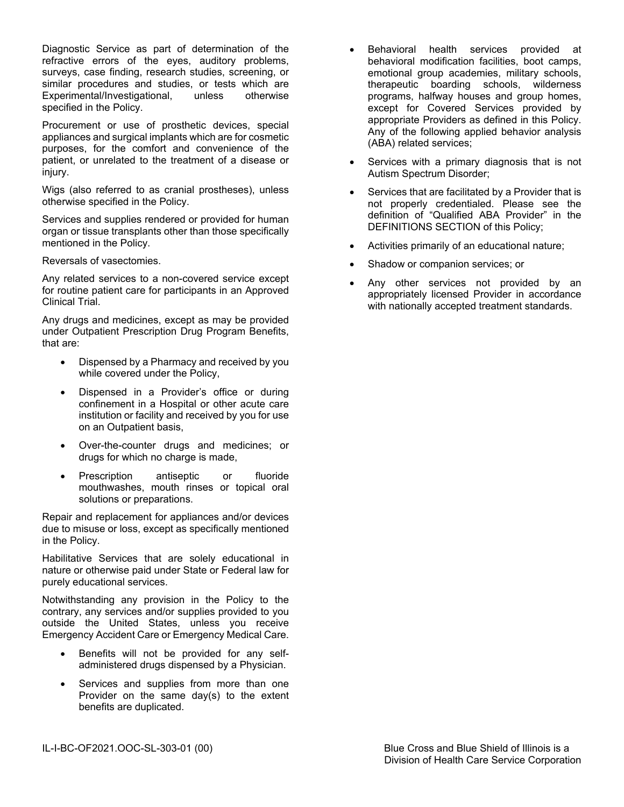Diagnostic Service as part of determination of the refractive errors of the eyes, auditory problems, surveys, case finding, research studies, screening, or similar procedures and studies, or tests which are Experimental/Investigational, unless otherwise specified in the Policy.

Procurement or use of prosthetic devices, special appliances and surgical implants which are for cosmetic purposes, for the comfort and convenience of the patient, or unrelated to the treatment of a disease or injury.

Wigs (also referred to as cranial prostheses), unless otherwise specified in the Policy.

Services and supplies rendered or provided for human organ or tissue transplants other than those specifically mentioned in the Policy.

Reversals of vasectomies.

Any related services to a non-covered service except for routine patient care for participants in an Approved Clinical Trial.

Any drugs and medicines, except as may be provided under Outpatient Prescription Drug Program Benefits, that are:

- Dispensed by a Pharmacy and received by you while covered under the Policy,
- Dispensed in a Provider's office or during confinement in a Hospital or other acute care institution or facility and received by you for use on an Outpatient basis,
- Over-the-counter drugs and medicines; or drugs for which no charge is made,
- Prescription antiseptic or fluoride mouthwashes, mouth rinses or topical oral solutions or preparations.

Repair and replacement for appliances and/or devices due to misuse or loss, except as specifically mentioned in the Policy.

Habilitative Services that are solely educational in nature or otherwise paid under State or Federal law for purely educational services.

Notwithstanding any provision in the Policy to the contrary, any services and/or supplies provided to you outside the United States, unless you receive Emergency Accident Care or Emergency Medical Care.

- Benefits will not be provided for any selfadministered drugs dispensed by a Physician.
- Services and supplies from more than one Provider on the same day(s) to the extent benefits are duplicated.
- Behavioral health services provided at behavioral modification facilities, boot camps, emotional group academies, military schools, therapeutic boarding schools, wilderness programs, halfway houses and group homes, except for Covered Services provided by appropriate Providers as defined in this Policy. Any of the following applied behavior analysis (ABA) related services;
- Services with a primary diagnosis that is not Autism Spectrum Disorder;
- Services that are facilitated by a Provider that is not properly credentialed. Please see the definition of "Qualified ABA Provider" in the DEFINITIONS SECTION of this Policy;
- Activities primarily of an educational nature;
- Shadow or companion services; or
- Any other services not provided by an appropriately licensed Provider in accordance with nationally accepted treatment standards.